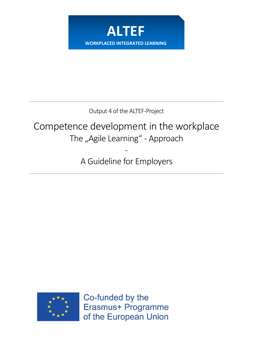

Output 4 of the ALTEF-Project

# Competence development in the workplace The "Agile Learning" - Approach

A Guideline for Employers

-



Co-funded by the Erasmus+ Programme of the European Union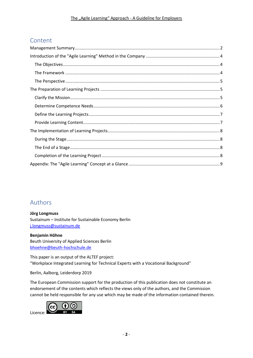# **Content**

# Authors

**Jörg Longmuss** Sustainum – Institute for Sustainable Economy Berlin [j.longmuss@sustainum.de](mailto:j.longmuss@sustainum.de)

**Benjamin Höhne** Beuth University of Applied Sciences Berlin [bhoehne@beuth-hochschule.de](mailto:bhoehne@beuth-hochschule.de)

<span id="page-1-0"></span>This paper is an output of the ALTEF project: "Workplace Integrated Learning for Technical Experts with a Vocational Background"

Berlin, Aalborg, Leiderdorp 2019

The European Commission support for the production of this publication does not constitute an endorsement of the contents which reflects the views only of the authors, and the Commission cannot be held responsible for any use which may be made of the information contained therein.

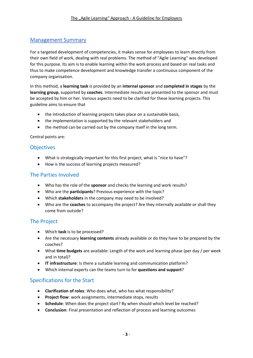### Management Summary

For a targeted development of competencies, it makes sense for employees to learn directly from their own field of work, dealing with real problems. The method of "Agile Learning" was developed for this purpose. Its aim is to enable learning within the work process and based on real tasks and thus to make competence development and knowledge transfer a continuous component of the company organisation.

In this method, a **learning task** is provided by an **internal sponsor** and **completed in stages** by the **learning group**, supported by **coaches**. Intermediate results are presented to the sponsor and must be accepted by him or her. Various aspects need to be clarified for these learning projects. This guideline aims to ensure that

- the introduction of learning projects takes place on a sustainable basis,
- the implementation is supported by the relevant stakeholders and
- the method can be carried out by the company itself in the long term.

Central points are:

#### **Objectives**

- What is strategically important for this first project, what is "nice to have"?
- How is the success of learning projects measured?

#### The Parties Involved

- Who has the role of the **sponsor** and checks the learning and work results?
- Who are the **participants**? Previous experience with the topic?
- Which **stakeholders** in the company may need to be involved?
- Who are the **coaches** to accompany the project? Are they internally available or shall they come from outside?

#### The Project

- Which **task** is to be processed?
- Are the necessary **learning contents** already available or do they have to be prepared by the coaches?
- What **time budgets** are available: Length of the work and learning phase (per day / per week and in total)?
- **IT infrastructure**: Is there a suitable learning and communication platform?
- Which internal experts can the teams turn to for **questions and support**?

## Specifications for the Start

- **Clarification of roles**: Who does what, who has what responsibility?
- **Project flow**: work assignments, intermediate stops, results
- **Schedule**: When does the project start? By when should which level be reached?
- **Conclusion**: Final presentation and reflection of process and learning outcomes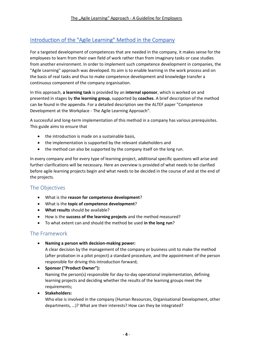## <span id="page-3-0"></span>Introduction of the "Agile Learning" Method in the Company

For a targeted development of competences that are needed in the company, it makes sense for the employees to learn from their own field of work rather than from imaginary tasks or case studies from another environment. In order to implement such competence development in companies, the "Agile Learning" approach was developed. Its aim is to enable learning in the work process and on the basis of real tasks and thus to make competence development and knowledge transfer a continuous component of the company organisation.

In this approach, **a learning task** is provided by an **internal sponsor**, which is worked on and presented in stages by **the learning group**, supported by **coaches**. A brief description of the method can be found in the appendix. For a detailed description see the ALTEF paper "Competence Development at the Workplace - The Agile Learning Approach".

A successful and long-term implementation of this method in a company has various prerequisites. This guide aims to ensure that

- the introduction is made on a sustainable basis.
- the implementation is supported by the relevant stakeholders and
- the method can also be supported by the company itself on the long run.

In every company and for every type of learning project, additional specific questions will arise and further clarifications will be necessary. Here an overview is provided of what needs to be clarified before agile learning projects begin and what needs to be decided in the course of and at the end of the projects.

#### <span id="page-3-1"></span>The Objectives

- What is the **reason for competence development**?
- What is the **topic of competence development**?
- **What results** should be available?
- How is the **success of the learning projects** and the method measured?
- To what extent can and should the method be used **in the long run**?

#### <span id="page-3-2"></span>The Framework

• **Naming a person with decision-making power:**

A clear decision by the management of the company or business unit to make the method (after probation in a pilot project) a standard procedure, and the appointment of the person responsible for driving this introduction forward;

• **Sponsor ("Product Owner"):**

Naming the person(s) responsible for day-to-day operational implementation, defining learning projects and deciding whether the results of the learning groups meet the requirements;

• **Stakeholders:**

Who else is involved in the company (Human Resources, Organisational Development, other departments, …)? What are their interests? How can they be integrated?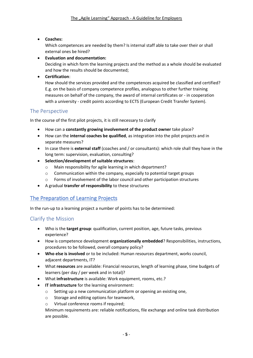• **Coaches:**

Which competences are needed by them? Is internal staff able to take over their or shall external ones be hired?

• **Evaluation and documentation:**

Deciding in which form the learning projects and the method as a whole should be evaluated and how the results should be documented;

• **Certification**:

How should the services provided and the competences acquired be classified and certified? E.g. on the basis of company competence profiles, analogous to other further training measures on behalf of the company, the award of internal certificates or - in cooperation with a university - credit points according to ECTS (European Credit Transfer System).

#### <span id="page-4-0"></span>The Perspective

In the course of the first pilot projects, it is still necessary to clarify

- How can a **constantly growing involvement of the product owner** take place?
- How can the **internal coaches be qualified**, as integration into the pilot projects and in separate measures?
- In case there is **external staff** (coaches and / or consultants): which role shall they have in the long term: supervision, evaluation, consulting?
- **Selection/development of suitable structures**:
	- o Main responsibility for agile learning in which department?
	- o Communication within the company, especially to potential target groups
	- $\circ$  Forms of involvement of the labor council and other participation structures
- A gradual **transfer of responsibility** to these structures

## <span id="page-4-1"></span>The Preparation of Learning Projects

In the run-up to a learning project a number of points has to be determined:

#### <span id="page-4-2"></span>Clarify the Mission

- Who is the **target group**: qualification, current position, age, future tasks, previous experience?
- How is competence development **organizationally embedded**? Responsibilities, instructions, procedures to be followed, overall company policy?
- **Who else is involved** or to be included: Human resources department, works council, adjacent departments, IT?
- What **resources** are available: Financial resources, length of learning phase, time budgets of learners (per day / per week and in total)?
- What **infrastructure** is available: Work equipment, rooms, etc.?
- **IT infrastructure** for the learning environment:
	- o Setting up a new communication platform or opening an existing one,
	- o Storage and editing options for teamwork,
	- Virtual conference rooms if required;

Minimum requirements are: reliable notifications, file exchange and online task distribution are possible.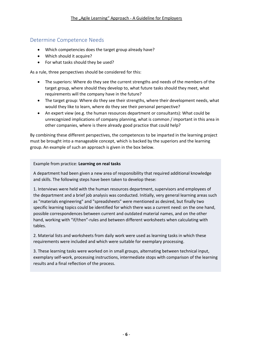### <span id="page-5-0"></span>Determine Competence Needs

- Which competencies does the target group already have?
- Which should it acquire?
- For what tasks should they be used?

As a rule, three perspectives should be considered for this:

- The superiors: Where do they see the current strengths and needs of the members of the target group, where should they develop to, what future tasks should they meet, what requirements will the company have in the future?
- The target group: Where do they see their strengths, where their development needs, what would they like to learn, where do they see their personal perspective?
- An expert view (ee.g. the human resources department or consultants): What could be unrecognized implications of company planning, what is common / important in this area in other companies, where is there already good practice that could help?

By combining these different perspectives, the competences to be imparted in the learning project must be brought into a manageable concept, which is backed by the superiors and the learning group. An example of such an approach is given in the box below.

#### Example from practice: **Learning on real tasks**

A department had been given a new area of responsibility that required additional knowledge and skills. The following steps have been taken to develop these:

1. Interviews were held with the human resources department, supervisors and employees of the department and a brief job analysis was conducted. Initially, very general learning areas such as "materials engineering" and "spreadsheets" were mentioned as desired, but finally two specific learning topics could be identified for which there was a current need: on the one hand, possible correspondences between current and outdated material names, and on the other hand, working with "if/then"-rules and between different worksheets when calculating with tables.

2. Material lists and worksheets from daily work were used as learning tasks in which these requirements were included and which were suitable for exemplary processing.

3. These learning tasks were worked on in small groups, alternating between technical input, exemplary self-work, processing instructions, intermediate stops with comparison of the learning results and a final reflection of the process.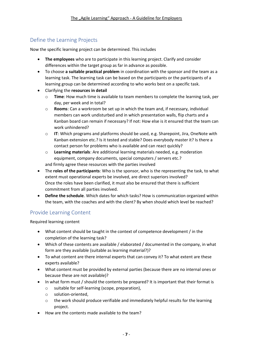## <span id="page-6-0"></span>Define the Learning Projects

Now the specific learning project can be determined. This includes

- **The employees** who are to participate in this learning project. Clarify and consider differences within the target group as far in advance as possible.
- To choose **a suitable practical problem** in coordination with the sponsor and the team as a learning task. The learning task can be based on the participants or the participants of a learning group can be determined according to who works best on a specific task.
- Clarifying the **resources in detail**
	- o **Time**: How much time is available to team members to complete the learning task, per day, per week and in total?
	- o **Rooms**: Can a workroom be set up in which the team and, if necessary, individual members can work undisturbed and in which presentation walls, flip charts and a Kanban board can remain if necessary? If not: How else is it ensured that the team can work unhindered?
	- o **IT**: Which programs and platforms should be used, e.g. Sharepoint, Jira, OneNote with Kanban extension etc.? Is it tested and stable? Does everybody master it? Is there a contact person for problems who is available and can react quickly?
	- o **Learning materials**: Are additional learning materials needed, e.g. moderation equipment, company documents, special computers / servers etc.? and firmly agree these resources with the parties involved
- The **roles of the participants**: Who is the sponsor, who is the representing the task, to what extent must operational experts be involved, are direct superiors involved? Once the roles have been clarified, it must also be ensured that there is sufficient commitment from all parties involved.
- **Define the schedule**. Which dates for which tasks? How is communication organized within the team, with the coaches and with the client? By when should which level be reached?

## <span id="page-6-1"></span>Provide Learning Content

Required learning content

- What content should be taught in the context of competence development / in the completion of the learning task?
- Which of these contents are available / elaborated / documented in the company, in what form are they available (suitable as learning material?)?
- To what content are there internal experts that can convey it? To what extent are these experts available?
- What content must be provided by external parties (because there are no internal ones or because these are not available)?
- In what form must / should the contents be prepared? It is important that their format is
	- o suitable for self-learning (scope, preparation),
	- o solution-oriented,
	- $\circ$  the work should produce verifiable and immediately helpful results for the learning project.
- How are the contents made available to the team?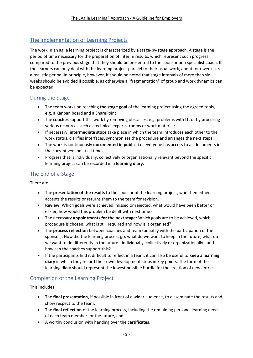# <span id="page-7-0"></span>The Implementation of Learning Projects

The work in an agile learning project is characterized by a stage-by-stage approach. A stage is the period of time necessary for the preparation of interim results, which represent such progress compared to the previous stage that they should be presented to the sponsor or a specialist coach. If the learners can only deal with the learning project parallel to their usual work, about four weeks are a realistic period. In principle, however, it should be noted that stage intervals of more than six weeks should be avoided if possible, as otherwise a "fragmentation" of group and work dynamics can be expected.

## <span id="page-7-1"></span>During the Stage

- The team works on reaching **the stage goal** of the learning project using the agreed tools, e.g. a Kanban board and a SharePoint;
- The **coaches** support this work by removing obstacles, e.g. problems with IT, or by procuring various resources such as technical experts, rooms or work material;
- If necessary, **intermediate stops** take place in which the team introduces each other to the work status, clarifies interfaces, synchronizes the procedure and arranges the next steps;
- The work is continuously **documented in public**, i.e. everyone has access to all documents in the current version at all times;
- Progress that is individually, collectively or organisationally relevant beyond the specific learning project can be recorded in a **learning diary**.

# <span id="page-7-2"></span>The End of a Stage

There are

- The **presentation of the results** to the sponsor of the learning project, who then either accepts the results or returns them to the team for revision.
- **Review**: Which goals were achieved, missed or rejected, what would have been better or easier, how would this problem be dealt with next time?
- The necessary **appointments for the next stage**: Which goals are to be achieved, which procedure is chosen, what is still required and how is it organised?
- The **process reflection** between coaches and team (possibly with the participation of the sponsor): How did the learning process go, what do we want to keep in the future, what do we want to do differently in the future - individually, collectively or organizationally - and how can the coaches support this?
- If the participants find it difficult to reflect in a team, it can also be useful to **keep a learning diary** in which they record their own development steps in key points. The form of the learning diary should represent the lowest possible hurdle for the creation of new entries.

# <span id="page-7-3"></span>Completion of the Learning Project

This includes

- The **final presentation**, if possible in front of a wider audience, to disseminate the results and show respect to the team;
- The **final reflection** of the learning process, including the remaining personal learning needs of each team member for the future, and
- A worthy conclusion with handing over the **certificates**.